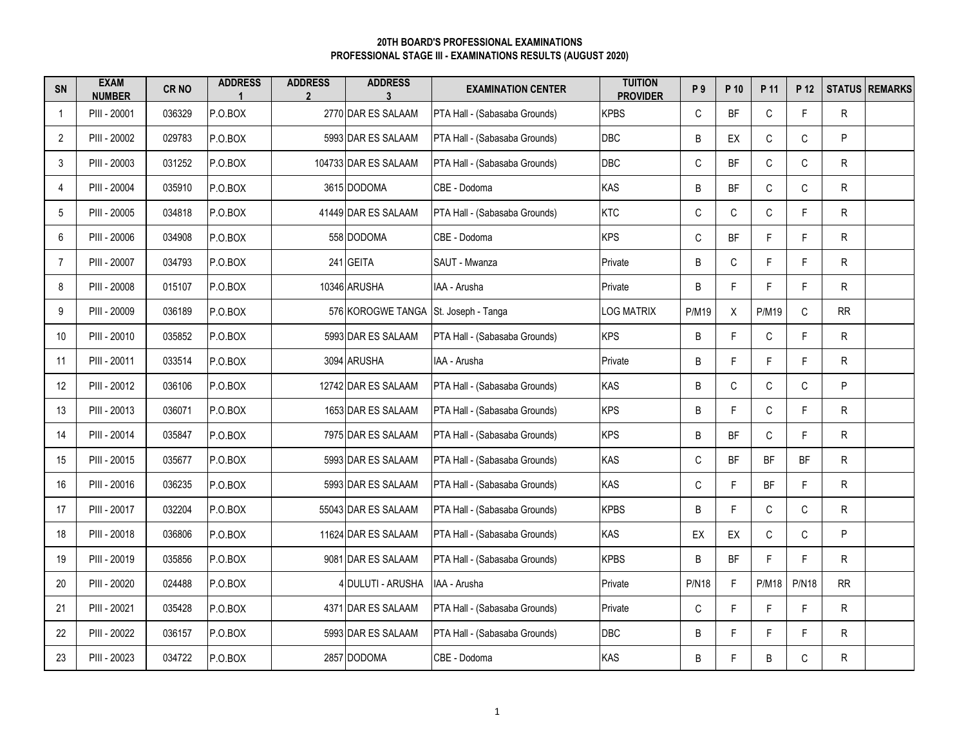## **PROFESSIONAL STAGE III - EXAMINATIONS RESULTS (AUGUST 2020) 20TH BOARD'S PROFESSIONAL EXAMINATIONS**

| SN             | <b>EXAM</b><br><b>NUMBER</b> | CR <sub>NO</sub> | <b>ADDRESS</b> | <b>ADDRESS</b><br>$\overline{2}$ | <b>ADDRESS</b><br>3                  | <b>EXAMINATION CENTER</b>     | <b>TUITION</b><br><b>PROVIDER</b> | P 9          | P 10      | P 11         | P 12         |           | <b>STATUS REMARKS</b> |
|----------------|------------------------------|------------------|----------------|----------------------------------|--------------------------------------|-------------------------------|-----------------------------------|--------------|-----------|--------------|--------------|-----------|-----------------------|
| $\mathbf 1$    | PIII - 20001                 | 036329           | P.O.BOX        |                                  | 2770 DAR ES SALAAM                   | PTA Hall - (Sabasaba Grounds) | <b>KPBS</b>                       | C            | <b>BF</b> | C            | F.           | R.        |                       |
| $\overline{2}$ | PIII - 20002                 | 029783           | P.O.BOX        |                                  | 5993 DAR ES SALAAM                   | PTA Hall - (Sabasaba Grounds) | DBC                               | $\sf B$      | EX        | $\mathsf C$  | $\mathsf C$  | P         |                       |
| 3              | PIII - 20003                 | 031252           | P.O.BOX        |                                  | 104733 DAR ES SALAAM                 | PTA Hall - (Sabasaba Grounds) | <b>DBC</b>                        | $\mathsf C$  | <b>BF</b> | $\mathsf C$  | $\mathsf C$  | R         |                       |
| 4              | PIII - 20004                 | 035910           | P.O.BOX        |                                  | 3615 DODOMA                          | CBE - Dodoma                  | KAS                               | B            | <b>BF</b> | $\mathsf{C}$ | $\mathsf{C}$ | R         |                       |
| 5              | PIII - 20005                 | 034818           | P.O.BOX        |                                  | 41449 DAR ES SALAAM                  | PTA Hall - (Sabasaba Grounds) | <b>KTC</b>                        | C            | C         | C            | F            | ${\sf R}$ |                       |
| 6              | PIII - 20006                 | 034908           | P.O.BOX        |                                  | 558 DODOMA                           | CBE - Dodoma                  | <b>KPS</b>                        | C            | <b>BF</b> | F.           | F.           | R.        |                       |
| 7              | PIII - 20007                 | 034793           | P.O.BOX        |                                  | 241 GEITA                            | SAUT - Mwanza                 | Private                           | B            | C         | F.           | F            | R         |                       |
| 8              | PIII - 20008                 | 015107           | P.O.BOX        |                                  | 10346 ARUSHA                         | IAA - Arusha                  | Private                           | B            | F.        | F.           | F.           | R.        |                       |
| 9              | PIII - 20009                 | 036189           | P.O.BOX        |                                  | 576 KOROGWE TANGA St. Joseph - Tanga |                               | <b>LOG MATRIX</b>                 | <b>P/M19</b> | X         | <b>P/M19</b> | $\mathsf{C}$ | <b>RR</b> |                       |
| 10             | PIII - 20010                 | 035852           | P.O.BOX        |                                  | 5993 DAR ES SALAAM                   | PTA Hall - (Sabasaba Grounds) | <b>KPS</b>                        | B            | F         | C            | F            | R         |                       |
| 11             | PIII - 20011                 | 033514           | P.O.BOX        |                                  | 3094 ARUSHA                          | IAA - Arusha                  | Private                           | B            | F.        | F.           | F.           | R         |                       |
| 12             | PIII - 20012                 | 036106           | P.O.BOX        |                                  | 12742 DAR ES SALAAM                  | PTA Hall - (Sabasaba Grounds) | KAS                               | B            | С         | C            | $\mathsf C$  | P         |                       |
| 13             | PIII - 20013                 | 036071           | P.O.BOX        |                                  | 1653 DAR ES SALAAM                   | PTA Hall - (Sabasaba Grounds) | <b>KPS</b>                        | B            | F.        | C            | F.           | R.        |                       |
| 14             | PIII - 20014                 | 035847           | P.O.BOX        |                                  | 7975 DAR ES SALAAM                   | PTA Hall - (Sabasaba Grounds) | <b>KPS</b>                        | B            | ΒF        | $\mathsf{C}$ | F            | R         |                       |
| 15             | PIII - 20015                 | 035677           | P.O.BOX        |                                  | 5993 DAR ES SALAAM                   | PTA Hall - (Sabasaba Grounds) | KAS                               | $\mathsf C$  | <b>BF</b> | BF           | <b>BF</b>    | R         |                       |
| 16             | PIII - 20016                 | 036235           | P.O.BOX        |                                  | 5993 DAR ES SALAAM                   | PTA Hall - (Sabasaba Grounds) | KAS                               | $\mathsf C$  | F.        | BF           | F.           | R         |                       |
| 17             | PIII - 20017                 | 032204           | P.O.BOX        |                                  | 55043 DAR ES SALAAM                  | PTA Hall - (Sabasaba Grounds) | <b>KPBS</b>                       | B            | F.        | $\mathsf{C}$ | C            | R         |                       |
| 18             | PIII - 20018                 | 036806           | P.O.BOX        |                                  | 11624 DAR ES SALAAM                  | PTA Hall - (Sabasaba Grounds) | KAS                               | EX           | EX        | C            | $\mathsf C$  | P         |                       |
| 19             | PIII - 20019                 | 035856           | P.O.BOX        |                                  | 9081 DAR ES SALAAM                   | PTA Hall - (Sabasaba Grounds) | <b>KPBS</b>                       | B            | <b>BF</b> | F.           | F.           | R.        |                       |
| 20             | PIII - 20020                 | 024488           | P.O.BOX        |                                  | 4 DULUTI - ARUSHA                    | IAA - Arusha                  | Private                           | <b>P/N18</b> | F.        | <b>P/M18</b> | <b>P/N18</b> | <b>RR</b> |                       |
| 21             | PIII - 20021                 | 035428           | P.O.BOX        |                                  | 4371 DAR ES SALAAM                   | PTA Hall - (Sabasaba Grounds) | Private                           | $\mathsf C$  | F         | F.           | F            | ${\sf R}$ |                       |
| 22             | PIII - 20022                 | 036157           | P.O.BOX        |                                  | 5993 DAR ES SALAAM                   | PTA Hall - (Sabasaba Grounds) | <b>DBC</b>                        | B            | F.        | F.           | E            | R.        |                       |
| 23             | PIII - 20023                 | 034722           | P.O.BOX        |                                  | 2857 DODOMA                          | CBE - Dodoma                  | KAS                               | B            | F.        | B            | C            | R         |                       |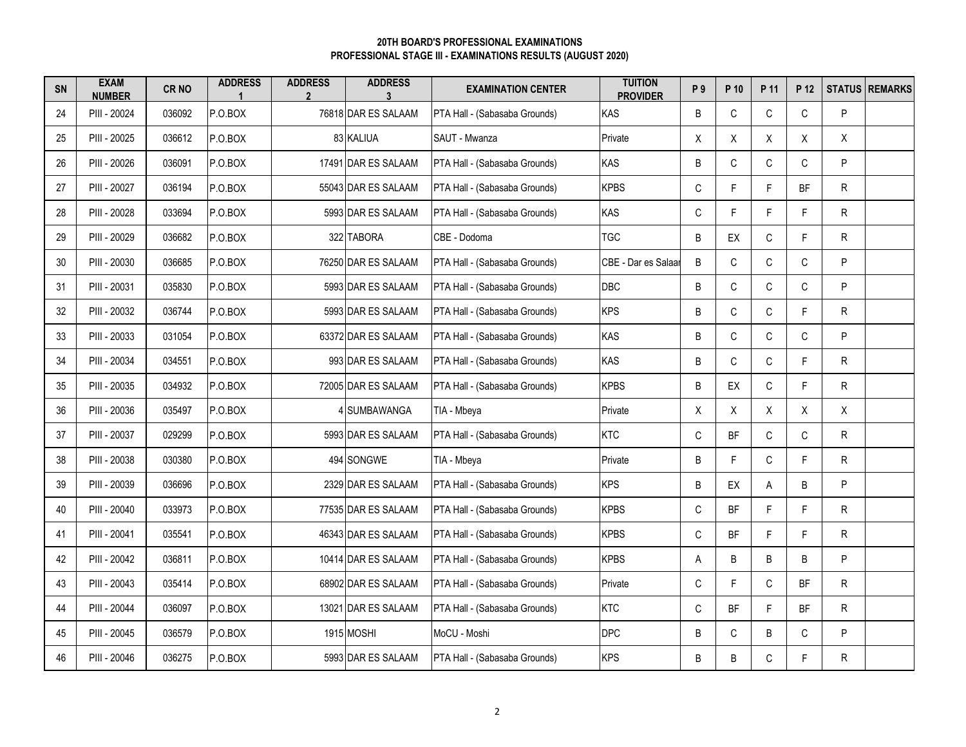## **PROFESSIONAL STAGE III - EXAMINATIONS RESULTS (AUGUST 2020) 20TH BOARD'S PROFESSIONAL EXAMINATIONS**

| <b>SN</b> | <b>EXAM</b><br><b>NUMBER</b> | <b>CRNO</b> | <b>ADDRESS</b> | <b>ADDRESS</b><br>$\overline{2}$ | <b>ADDRESS</b><br>3 | <b>EXAMINATION CENTER</b>     | <b>TUITION</b><br><b>PROVIDER</b> | P 9         | P 10      | P 11         | P 12         |    | <b>STATUS REMARKS</b> |
|-----------|------------------------------|-------------|----------------|----------------------------------|---------------------|-------------------------------|-----------------------------------|-------------|-----------|--------------|--------------|----|-----------------------|
| 24        | PIII - 20024                 | 036092      | P.O.BOX        |                                  | 76818 DAR ES SALAAM | PTA Hall - (Sabasaba Grounds) | KAS                               | B           | C         | $\mathsf C$  | $\mathsf C$  | P  |                       |
| 25        | PIII - 20025                 | 036612      | P.O.BOX        |                                  | 83 KALIUA           | SAUT - Mwanza                 | Private                           | X           | X         | X            | X            | X  |                       |
| 26        | PIII - 20026                 | 036091      | P.O.BOX        |                                  | 17491 DAR ES SALAAM | PTA Hall - (Sabasaba Grounds) | KAS                               | B           | C         | C            | C            | P  |                       |
| 27        | PIII - 20027                 | 036194      | P.O.BOX        |                                  | 55043 DAR ES SALAAM | PTA Hall - (Sabasaba Grounds) | <b>KPBS</b>                       | C           | F.        | F.           | <b>BF</b>    | R  |                       |
| 28        | PIII - 20028                 | 033694      | P.O.BOX        |                                  | 5993 DAR ES SALAAM  | PTA Hall - (Sabasaba Grounds) | KAS                               | $\mathsf C$ | F.        | F.           | F            | R  |                       |
| 29        | PIII - 20029                 | 036682      | P.O.BOX        |                                  | 322 TABORA          | CBE - Dodoma                  | <b>TGC</b>                        | B           | EX        | C            | F.           | R  |                       |
| 30        | PIII - 20030                 | 036685      | P.O.BOX        |                                  | 76250 DAR ES SALAAM | PTA Hall - (Sabasaba Grounds) | CBE - Dar es Salaar               | B           | C         | $\mathsf C$  | $\mathsf C$  | P  |                       |
| 31        | PIII - 20031                 | 035830      | P.O.BOX        |                                  | 5993 DAR ES SALAAM  | PTA Hall - (Sabasaba Grounds) | <b>DBC</b>                        | B           | C         | C            | $\mathsf C$  | P  |                       |
| 32        | PIII - 20032                 | 036744      | P.O.BOX        |                                  | 5993 DAR ES SALAAM  | PTA Hall - (Sabasaba Grounds) | <b>KPS</b>                        | B           | C         | C            | F            | R  |                       |
| 33        | PIII - 20033                 | 031054      | P.O.BOX        |                                  | 63372 DAR ES SALAAM | PTA Hall - (Sabasaba Grounds) | KAS                               | B           | C         | $\mathsf{C}$ | $\mathsf{C}$ | P  |                       |
| 34        | PIII - 20034                 | 034551      | P.O.BOX        |                                  | 993 DAR ES SALAAM   | PTA Hall - (Sabasaba Grounds) | KAS                               | B           | C         | $\mathsf C$  | F.           | R. |                       |
| 35        | PIII - 20035                 | 034932      | P.O.BOX        |                                  | 72005 DAR ES SALAAM | PTA Hall - (Sabasaba Grounds) | <b>KPBS</b>                       | B           | EX        | C            | F.           | R  |                       |
| 36        | PIII - 20036                 | 035497      | P.O.BOX        |                                  | 4 SUMBAWANGA        | TIA - Mbeya                   | Private                           | X           | X         | X            | X            | Χ  |                       |
| 37        | PIII - 20037                 | 029299      | P.O.BOX        |                                  | 5993 DAR ES SALAAM  | PTA Hall - (Sabasaba Grounds) | <b>KTC</b>                        | C           | BF        | C            | $\mathsf C$  | R  |                       |
| 38        | PIII - 20038                 | 030380      | P.O.BOX        |                                  | 494 SONGWE          | TIA - Mbeya                   | Private                           | B           | F.        | $\mathsf{C}$ | F.           | R  |                       |
| 39        | PIII - 20039                 | 036696      | P.O.BOX        |                                  | 2329 DAR ES SALAAM  | PTA Hall - (Sabasaba Grounds) | <b>KPS</b>                        | B           | EX        | A            | B            | P  |                       |
| 40        | PIII - 20040                 | 033973      | P.O.BOX        |                                  | 77535 DAR ES SALAAM | PTA Hall - (Sabasaba Grounds) | <b>KPBS</b>                       | C           | <b>BF</b> | F.           | F            | R  |                       |
| 41        | PIII - 20041                 | 035541      | P.O.BOX        |                                  | 46343 DAR ES SALAAM | PTA Hall - (Sabasaba Grounds) | <b>KPBS</b>                       | C           | <b>BF</b> | F.           | F.           | R  |                       |
| 42        | PIII - 20042                 | 036811      | P.O.BOX        |                                  | 10414 DAR ES SALAAM | PTA Hall - (Sabasaba Grounds) | <b>KPBS</b>                       | А           | B         | B            | B            | P  |                       |
| 43        | PIII - 20043                 | 035414      | P.O.BOX        |                                  | 68902 DAR ES SALAAM | PTA Hall - (Sabasaba Grounds) | Private                           | $\mathsf C$ | F.        | $\mathsf C$  | BF           | R  |                       |
| 44        | PIII - 20044                 | 036097      | P.O.BOX        |                                  | 13021 DAR ES SALAAM | PTA Hall - (Sabasaba Grounds) | <b>KTC</b>                        | $\mathsf C$ | <b>BF</b> | F.           | BF           | R  |                       |
| 45        | PIII - 20045                 | 036579      | P.O.BOX        |                                  | 1915 MOSHI          | MoCU - Moshi                  | <b>DPC</b>                        | $\sf B$     | C         | B            | $\mathsf C$  | P  |                       |
| 46        | PIII - 20046                 | 036275      | P.O.BOX        |                                  | 5993 DAR ES SALAAM  | PTA Hall - (Sabasaba Grounds) | <b>KPS</b>                        | B           | В         | C            | F.           | R  |                       |